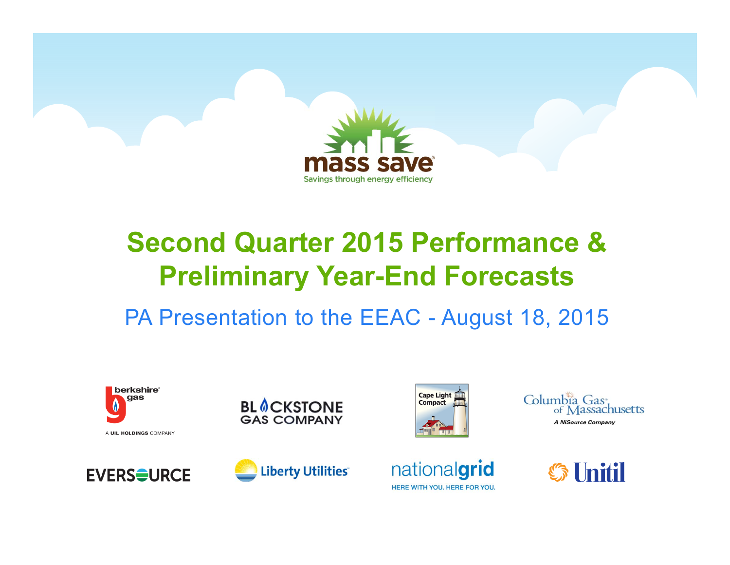

### **Second Quarter 2015 Performance & Preliminary Year-End Forecasts**

PA Presentation to the EEAC - August 18, 2015















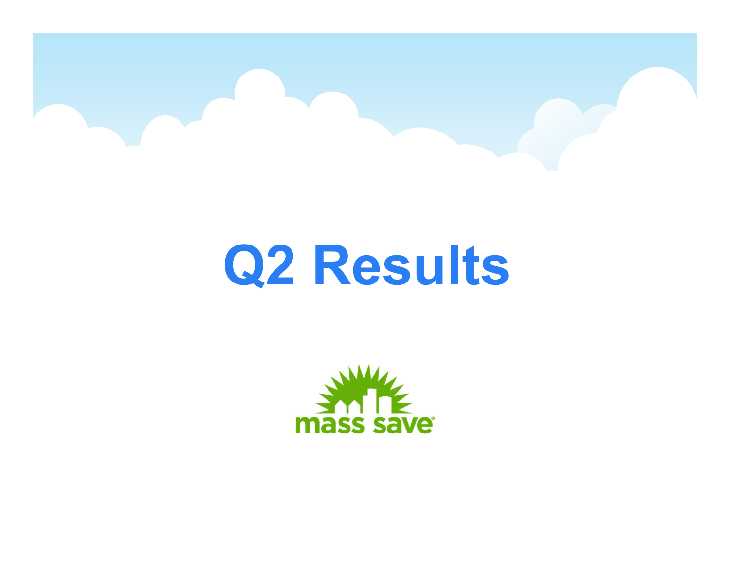

# **Q2 Results**

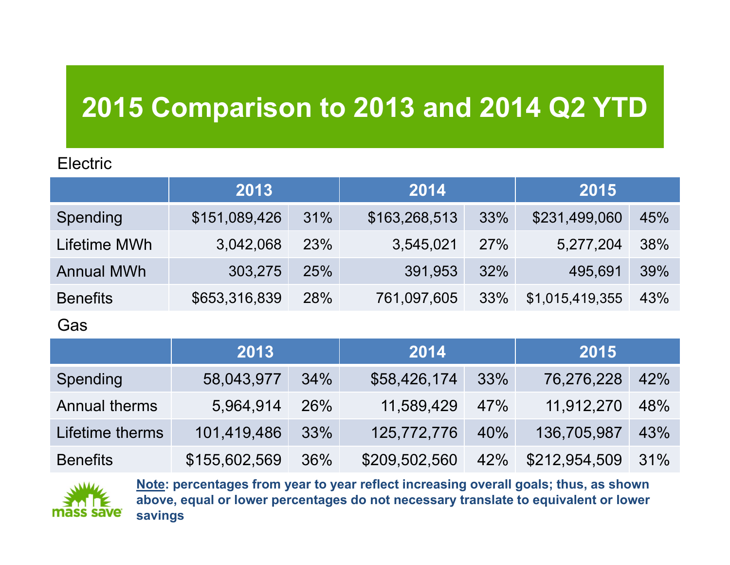### **2015 Comparison to 2013 and 2014 Q2 YTD**

#### **Electric**

|                   | 2013          |            | 2014          |     | 2015            |     |
|-------------------|---------------|------------|---------------|-----|-----------------|-----|
| <b>Spending</b>   | \$151,089,426 | 31%        | \$163,268,513 | 33% | \$231,499,060   | 45% |
| Lifetime MWh      | 3,042,068     | <b>23%</b> | 3,545,021     | 27% | 5,277,204       | 38% |
| <b>Annual MWh</b> | 303,275       | <b>25%</b> | 391,953       | 32% | 495,691         | 39% |
| <b>Benefits</b>   | \$653,316,839 | <b>28%</b> | 761,097,605   | 33% | \$1,015,419,355 | 43% |

#### Gas

|                      | 2013          |            | 2014          |     | 2015          |     |
|----------------------|---------------|------------|---------------|-----|---------------|-----|
| Spending             | 58,043,977    | 34%        | \$58,426,174  | 33% | 76,276,228    | 42% |
| <b>Annual therms</b> | 5,964,914     | <b>26%</b> | 11,589,429    | 47% | 11,912,270    | 48% |
| Lifetime therms      | 101,419,486   | 33%        | 125,772,776   | 40% | 136,705,987   | 43% |
| <b>Benefits</b>      | \$155,602,569 | 36%        | \$209,502,560 | 42% | \$212,954,509 | 31% |



**Note: percentages from year to year reflect increasing overall goals; thus, as shown above, equal or lower percentages do not necessary translate to equivalent or lower savings**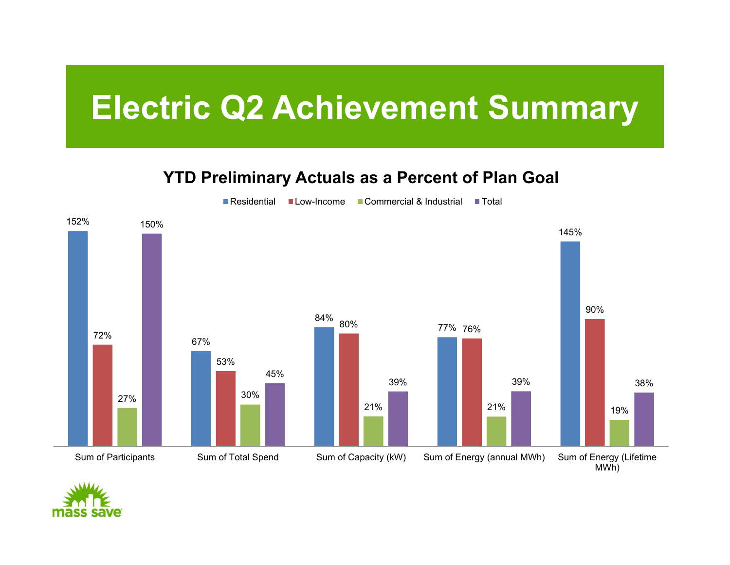## **Electric Q2 Achievement Summary**

#### **YTD Preliminary Actuals as a Percent of Plan Goal**



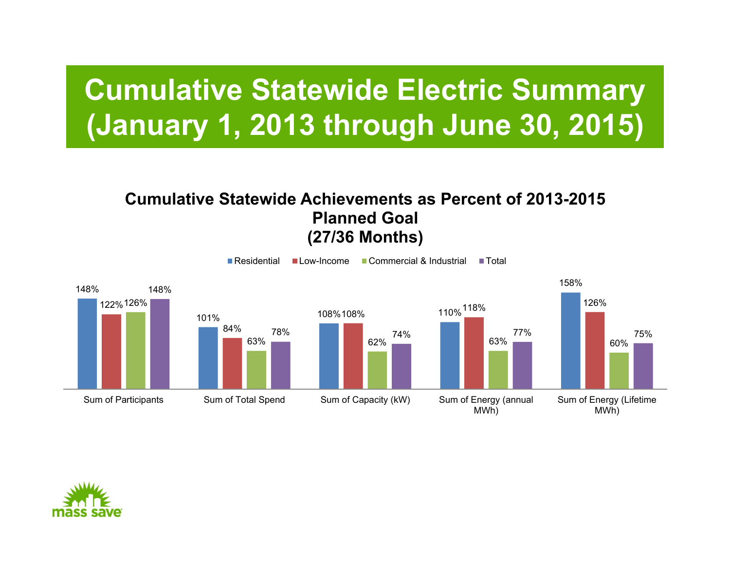## **Cumulative Statewide Electric Summary (January 1, 2013 through June 30, 2015)**

#### **Cumulative Statewide Achievements as Percent of 2013-2015 Planned Goal(27/36 Months)**



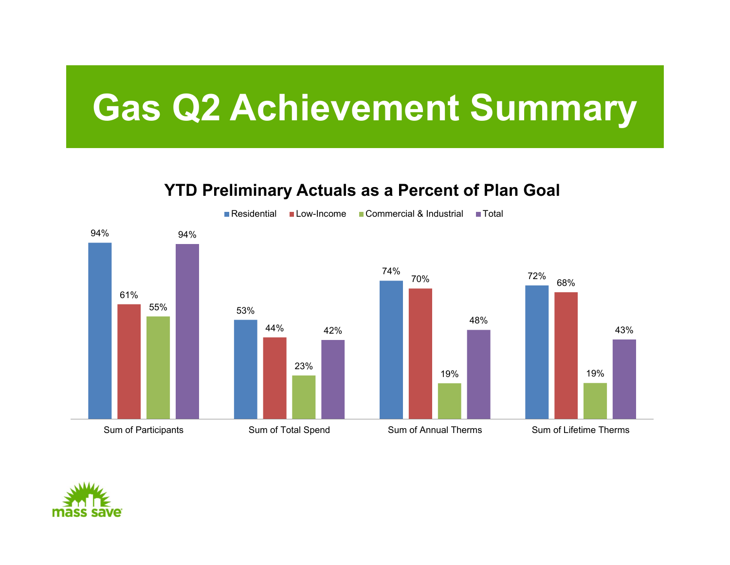# **Gas Q2 Achievement Summary**

#### **YTD Preliminary Actuals as a Percent of Plan Goal**



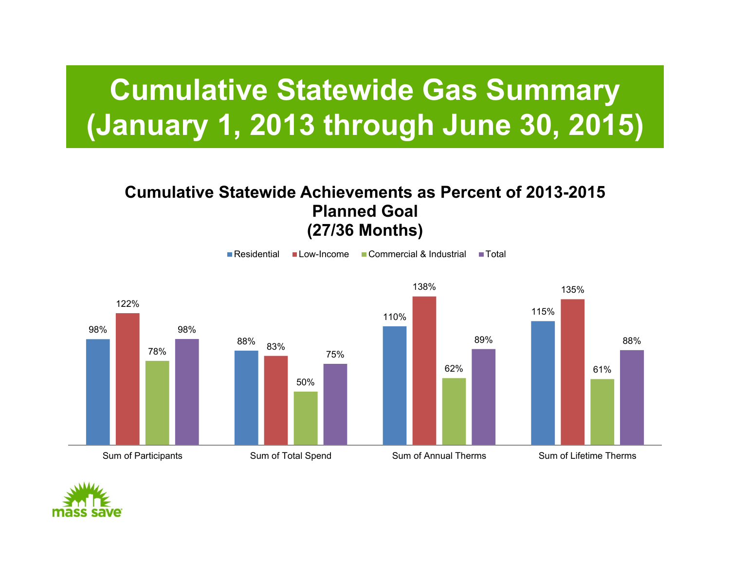## **Cumulative Statewide Gas Summary (January 1, 2013 through June 30, 2015)**

#### **Cumulative Statewide Achievements as Percent of 2013-2015 Planned Goal(27/36 Months)**



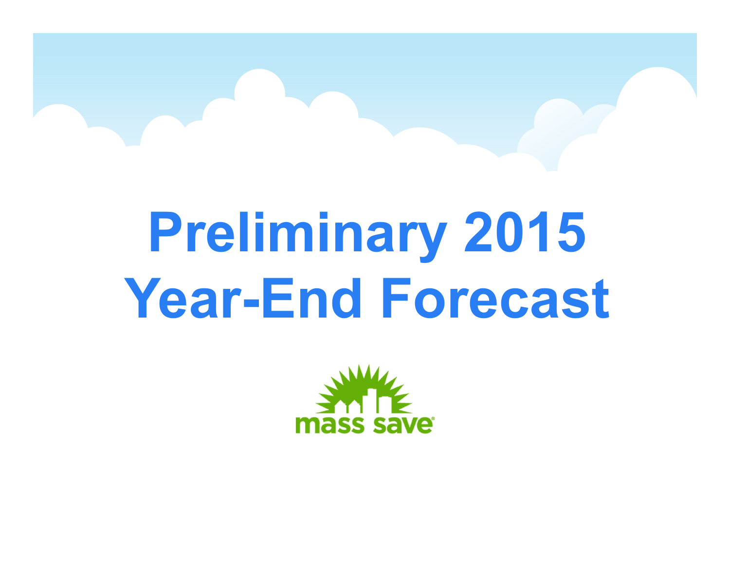# **Preliminary 2015 Year-End Forecast**

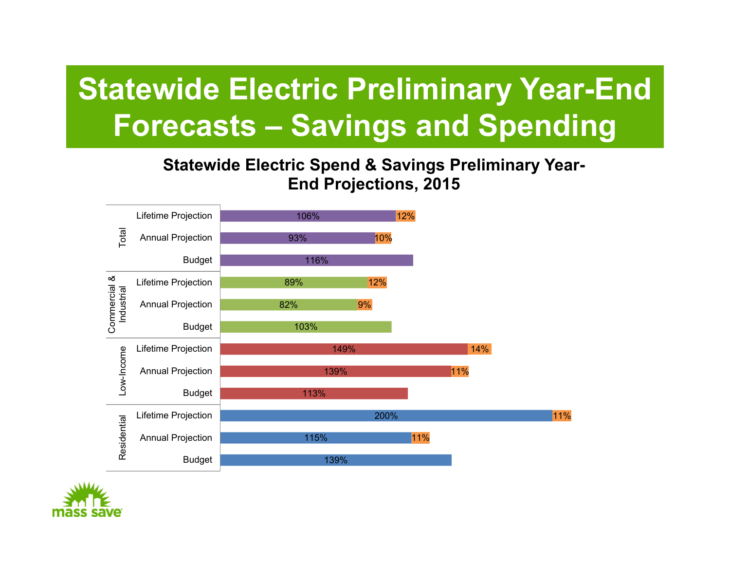## **Statewide Electric Preliminary Year-End Forecasts – Savings and Spending**

#### **Statewide Electric Spend & Savings Preliminary Year-End Projections, 2015**



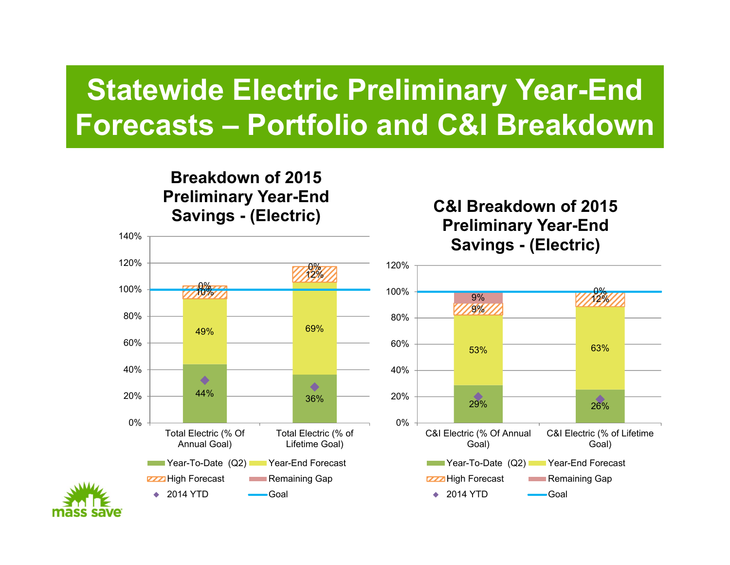## **Statewide Electric Preliminary Year-End Forecasts – Portfolio and C&I Breakdown**

#### **Breakdown of 2015 Preliminary Year-End Savings - (Electric)**

#### **C&I Breakdown of 2015 Preliminary Year-End Savings - (Electric)**





140%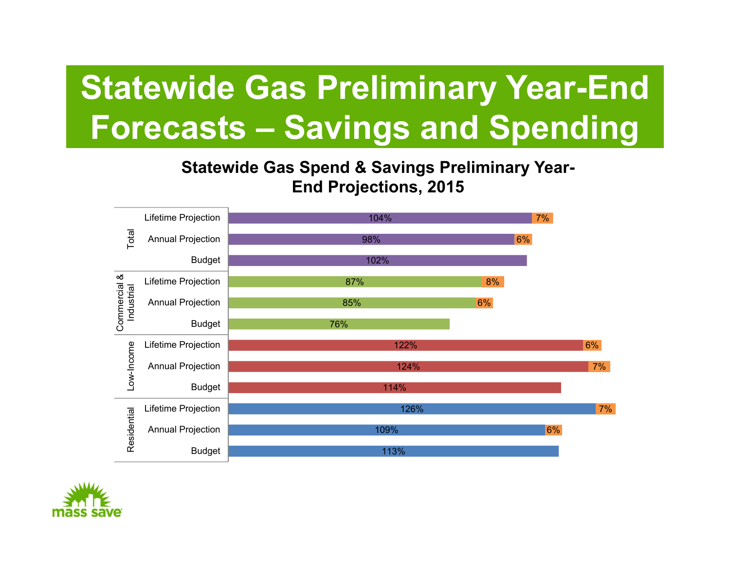# **Statewide Gas Preliminary Year-End Forecasts – Savings and Spending**

#### **Statewide Gas Spend & Savings Preliminary Year-End Projections, 2015**